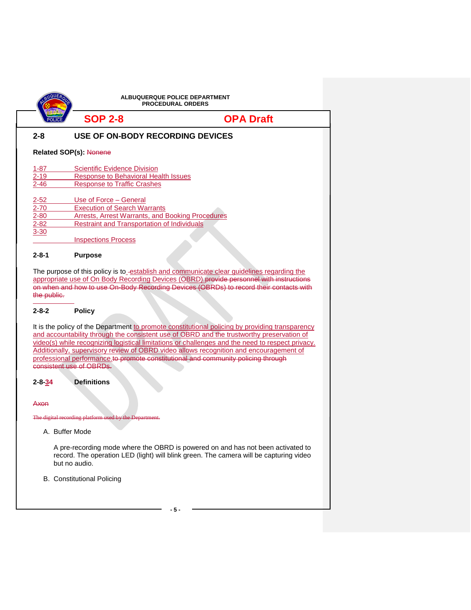| <b>ALBUQUERQUE POLICE DEPARTMENT</b><br><b>PROCEDURAL ORDERS</b> |                                                                                                                                                                                                              |                                                                                                                                                                                                                                                                                                                                                                                                                                                                                 |  |  |  |
|------------------------------------------------------------------|--------------------------------------------------------------------------------------------------------------------------------------------------------------------------------------------------------------|---------------------------------------------------------------------------------------------------------------------------------------------------------------------------------------------------------------------------------------------------------------------------------------------------------------------------------------------------------------------------------------------------------------------------------------------------------------------------------|--|--|--|
|                                                                  | <b>SOP 2-8</b>                                                                                                                                                                                               | <b>OPA Draft</b>                                                                                                                                                                                                                                                                                                                                                                                                                                                                |  |  |  |
| $2 - 8$                                                          | USE OF ON-BODY RECORDING DEVICES                                                                                                                                                                             |                                                                                                                                                                                                                                                                                                                                                                                                                                                                                 |  |  |  |
|                                                                  | <b>Related SOP(s): Nonene</b>                                                                                                                                                                                |                                                                                                                                                                                                                                                                                                                                                                                                                                                                                 |  |  |  |
| $1 - 87$<br>$2 - 19$<br>$2 - 46$                                 | <b>Scientific Evidence Division</b><br><b>Response to Behavioral Health Issues</b><br><b>Response to Traffic Crashes</b>                                                                                     |                                                                                                                                                                                                                                                                                                                                                                                                                                                                                 |  |  |  |
| $2 - 52$<br>$2 - 70$<br>$2 - 80$<br>$2 - 82$<br>$3 - 30$         | Use of Force - General<br><b>Execution of Search Warrants</b><br><b>Arrests, Arrest Warrants, and Booking Procedures</b><br><b>Restraint and Transportation of Individuals</b><br><b>Inspections Process</b> |                                                                                                                                                                                                                                                                                                                                                                                                                                                                                 |  |  |  |
| $2 - 8 - 1$                                                      | <b>Purpose</b>                                                                                                                                                                                               |                                                                                                                                                                                                                                                                                                                                                                                                                                                                                 |  |  |  |
|                                                                  | consistent use of OBRDs.                                                                                                                                                                                     | It is the policy of the Department to promote constitutional policing by providing transparency<br>and accountability through the consistent use of OBRD and the trustworthy preservation of<br>video(s) while recognizing logistical limitations or challenges and the need to respect privacy.<br>Additionally, supervisory review of OBRD video allows recognition and encouragement of<br>professional performance to promote constitutional and community policing through |  |  |  |
| $2 - 8 - 34$<br>Axon                                             | <b>Definitions</b>                                                                                                                                                                                           |                                                                                                                                                                                                                                                                                                                                                                                                                                                                                 |  |  |  |
|                                                                  | The digital recording platform used by the Department.                                                                                                                                                       |                                                                                                                                                                                                                                                                                                                                                                                                                                                                                 |  |  |  |
|                                                                  | A. Buffer Mode<br>but no audio.                                                                                                                                                                              | A pre-recording mode where the OBRD is powered on and has not been activated to<br>record. The operation LED (light) will blink green. The camera will be capturing video                                                                                                                                                                                                                                                                                                       |  |  |  |
|                                                                  | <b>B.</b> Constitutional Policing                                                                                                                                                                            |                                                                                                                                                                                                                                                                                                                                                                                                                                                                                 |  |  |  |
|                                                                  |                                                                                                                                                                                                              | -5-                                                                                                                                                                                                                                                                                                                                                                                                                                                                             |  |  |  |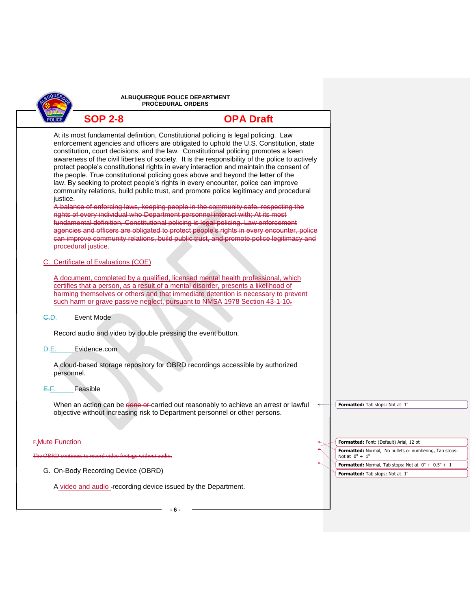|                        | ALBUQUERQUE POLICE DEPARTMENT<br><b>PROCEDURAL ORDERS</b> |                                                                                                                                                                                                                                                                                                                                                                                                                                                                                                                                                                                                                                                                                                                                                                                                                                                                                                                                                                                                                                                                                                                                                                                         |                                                                                          |
|------------------------|-----------------------------------------------------------|-----------------------------------------------------------------------------------------------------------------------------------------------------------------------------------------------------------------------------------------------------------------------------------------------------------------------------------------------------------------------------------------------------------------------------------------------------------------------------------------------------------------------------------------------------------------------------------------------------------------------------------------------------------------------------------------------------------------------------------------------------------------------------------------------------------------------------------------------------------------------------------------------------------------------------------------------------------------------------------------------------------------------------------------------------------------------------------------------------------------------------------------------------------------------------------------|------------------------------------------------------------------------------------------|
|                        | <b>SOP 2-8</b>                                            | <b>OPA Draft</b>                                                                                                                                                                                                                                                                                                                                                                                                                                                                                                                                                                                                                                                                                                                                                                                                                                                                                                                                                                                                                                                                                                                                                                        |                                                                                          |
| justice.               | procedural justice.                                       | At its most fundamental definition, Constitutional policing is legal policing. Law<br>enforcement agencies and officers are obligated to uphold the U.S. Constitution, state<br>constitution, court decisions, and the law. Constitutional policing promotes a keen<br>awareness of the civil liberties of society. It is the responsibility of the police to actively<br>protect people's constitutional rights in every interaction and maintain the consent of<br>the people. True constitutional policing goes above and beyond the letter of the<br>law. By seeking to protect people's rights in every encounter, police can improve<br>community relations, build public trust, and promote police legitimacy and procedural<br>A balance of enforcing laws, keeping people in the community safe, respecting the<br>rights of every individual who Department personnel interact with; At its most<br>fundamental definition, Constitutional policing is legal policing. Law enforcement<br>agencies and officers are obligated to protect people's rights in every encounter, police<br>can improve community relations, build public trust, and promote police legitimacy and |                                                                                          |
|                        | C. Certificate of Evaluations (COE)                       |                                                                                                                                                                                                                                                                                                                                                                                                                                                                                                                                                                                                                                                                                                                                                                                                                                                                                                                                                                                                                                                                                                                                                                                         |                                                                                          |
|                        |                                                           | A document, completed by a qualified, licensed mental health professional, which<br>certifies that a person, as a result of a mental disorder, presents a likelihood of<br>harming themselves or others and that immediate detention is necessary to prevent<br>such harm or grave passive neglect, pursuant to NMSA 1978 Section 43-1-10-                                                                                                                                                                                                                                                                                                                                                                                                                                                                                                                                                                                                                                                                                                                                                                                                                                              |                                                                                          |
| <del>C.</del> D.       | <b>Event Mode</b>                                         |                                                                                                                                                                                                                                                                                                                                                                                                                                                                                                                                                                                                                                                                                                                                                                                                                                                                                                                                                                                                                                                                                                                                                                                         |                                                                                          |
|                        |                                                           | Record audio and video by double pressing the event button.                                                                                                                                                                                                                                                                                                                                                                                                                                                                                                                                                                                                                                                                                                                                                                                                                                                                                                                                                                                                                                                                                                                             |                                                                                          |
| Đ.E.                   | Evidence.com                                              |                                                                                                                                                                                                                                                                                                                                                                                                                                                                                                                                                                                                                                                                                                                                                                                                                                                                                                                                                                                                                                                                                                                                                                                         |                                                                                          |
| personnel.             |                                                           | A cloud-based storage repository for OBRD recordings accessible by authorized                                                                                                                                                                                                                                                                                                                                                                                                                                                                                                                                                                                                                                                                                                                                                                                                                                                                                                                                                                                                                                                                                                           |                                                                                          |
| E.F.                   | Feasible                                                  |                                                                                                                                                                                                                                                                                                                                                                                                                                                                                                                                                                                                                                                                                                                                                                                                                                                                                                                                                                                                                                                                                                                                                                                         |                                                                                          |
|                        |                                                           | When an action can be done or carried out reasonably to achieve an arrest or lawful<br>objective without increasing risk to Department personnel or other persons.                                                                                                                                                                                                                                                                                                                                                                                                                                                                                                                                                                                                                                                                                                                                                                                                                                                                                                                                                                                                                      | Formatted: Tab stops: Not at 1"                                                          |
|                        |                                                           |                                                                                                                                                                                                                                                                                                                                                                                                                                                                                                                                                                                                                                                                                                                                                                                                                                                                                                                                                                                                                                                                                                                                                                                         |                                                                                          |
| <b>F.Mute Function</b> |                                                           |                                                                                                                                                                                                                                                                                                                                                                                                                                                                                                                                                                                                                                                                                                                                                                                                                                                                                                                                                                                                                                                                                                                                                                                         | Formatted: Font: (Default) Arial, 12 pt                                                  |
|                        | The OBRD continues to record video footage without audio. |                                                                                                                                                                                                                                                                                                                                                                                                                                                                                                                                                                                                                                                                                                                                                                                                                                                                                                                                                                                                                                                                                                                                                                                         | Formatted: Normal, No bullets or numbering, Tab stops:<br>Not at $0" + 1"$               |
|                        | G. On-Body Recording Device (OBRD)                        |                                                                                                                                                                                                                                                                                                                                                                                                                                                                                                                                                                                                                                                                                                                                                                                                                                                                                                                                                                                                                                                                                                                                                                                         | Formatted: Normal, Tab stops: Not at $0" + 0.5" + 1"$<br>Formatted: Tab stops: Not at 1" |
|                        |                                                           | A video and audio - recording device issued by the Department.                                                                                                                                                                                                                                                                                                                                                                                                                                                                                                                                                                                                                                                                                                                                                                                                                                                                                                                                                                                                                                                                                                                          |                                                                                          |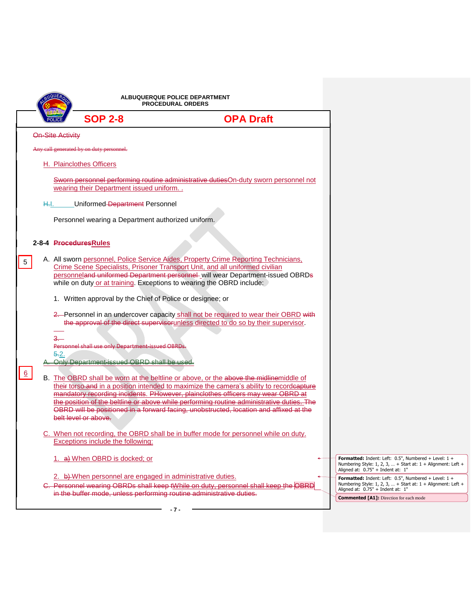|                         |                                                                       | ALBUQUERQUE POLICE DEPARTMENT<br><b>PROCEDURAL ORDERS</b>                                                                                                                                                                                                                                                                                                                                                                                                   |                                                                                                                                                                |
|-------------------------|-----------------------------------------------------------------------|-------------------------------------------------------------------------------------------------------------------------------------------------------------------------------------------------------------------------------------------------------------------------------------------------------------------------------------------------------------------------------------------------------------------------------------------------------------|----------------------------------------------------------------------------------------------------------------------------------------------------------------|
|                         | <b>SOP 2-8</b>                                                        | <b>OPA Draft</b>                                                                                                                                                                                                                                                                                                                                                                                                                                            |                                                                                                                                                                |
| <b>On-Site Activity</b> |                                                                       |                                                                                                                                                                                                                                                                                                                                                                                                                                                             |                                                                                                                                                                |
|                         | Any call generated by on duty personnel.                              |                                                                                                                                                                                                                                                                                                                                                                                                                                                             |                                                                                                                                                                |
|                         | H. Plainclothes Officers                                              |                                                                                                                                                                                                                                                                                                                                                                                                                                                             |                                                                                                                                                                |
|                         | wearing their Department issued uniform                               | Sworn personnel performing routine administrative duties On-duty sworn personnel not                                                                                                                                                                                                                                                                                                                                                                        |                                                                                                                                                                |
| H.I.                    | Uniformed-Department Personnel                                        |                                                                                                                                                                                                                                                                                                                                                                                                                                                             |                                                                                                                                                                |
|                         | Personnel wearing a Department authorized uniform.                    |                                                                                                                                                                                                                                                                                                                                                                                                                                                             |                                                                                                                                                                |
|                         | 2-8-4 Procedures Rules                                                |                                                                                                                                                                                                                                                                                                                                                                                                                                                             |                                                                                                                                                                |
| 5                       | while on duty or at training. Exceptions to wearing the OBRD include: | A. All sworn personnel, Police Service Aides, Property Crime Reporting Technicians,<br>Crime Scene Specialists, Prisoner Transport Unit, and all uniformed civilian<br>personneland uniformed Department personnel- will wear Department-issued OBRDs                                                                                                                                                                                                       |                                                                                                                                                                |
|                         | 1. Written approval by the Chief of Police or designee; or            |                                                                                                                                                                                                                                                                                                                                                                                                                                                             |                                                                                                                                                                |
|                         |                                                                       | 2. Personnel in an undercover capacity shall not be required to wear their OBRD with<br>the approval of the direct supervisorunless directed to do so by their supervisor.                                                                                                                                                                                                                                                                                  |                                                                                                                                                                |
| $3-$                    | Personnel shall use only Department-issued OBRDs.                     |                                                                                                                                                                                                                                                                                                                                                                                                                                                             |                                                                                                                                                                |
| $5-2.$                  | Only Department issued OBRD shall be us                               |                                                                                                                                                                                                                                                                                                                                                                                                                                                             |                                                                                                                                                                |
| $6 \overline{6}$        | belt level or above.                                                  | B. The OBRD shall be worn at the beltline or above, or the above the midlinemiddle of<br>their torso and in a position intended to maximize the camera's ability to recordeapture<br>mandatory recording incidents. PHowever, plainclothes officers may wear OBRD at<br>the position of the beltline or above while performing routine administrative duties. The<br>OBRD will be positioned in a forward facing, unobstructed, location and affixed at the |                                                                                                                                                                |
|                         | <b>Exceptions include the following:</b>                              | When not recording, the OBRD shall be in buffer mode for personnel while on duty.                                                                                                                                                                                                                                                                                                                                                                           |                                                                                                                                                                |
|                         | 1. a) When OBRD is docked; or                                         |                                                                                                                                                                                                                                                                                                                                                                                                                                                             | Formatted: Indent: Left: $0.5$ ", Numbered + Level: $1 +$<br>Numbering Style: 1, 2, 3,  + Start at: 1 + Alignment: Left +<br>Aligned at: 0.75" + Indent at: 1" |
|                         | 2. b) When personnel are engaged in administrative duties.            | C. Personnel wearing OBRDs shall keep tWhile on duty, personnel shall keep the OBRD                                                                                                                                                                                                                                                                                                                                                                         | Formatted: Indent: Left: $0.5$ ", Numbered + Level: $1 +$<br>Numbering Style: 1, 2, 3,  + Start at: 1 + Alignment: Left +<br>Aligned at: 0.75" + Indent at: 1" |
|                         | in the buffer mode, unless performing routine administrative duties.  |                                                                                                                                                                                                                                                                                                                                                                                                                                                             | <b>Commented [A1]:</b> Direction for each mode                                                                                                                 |
|                         |                                                                       | $-7-$                                                                                                                                                                                                                                                                                                                                                                                                                                                       |                                                                                                                                                                |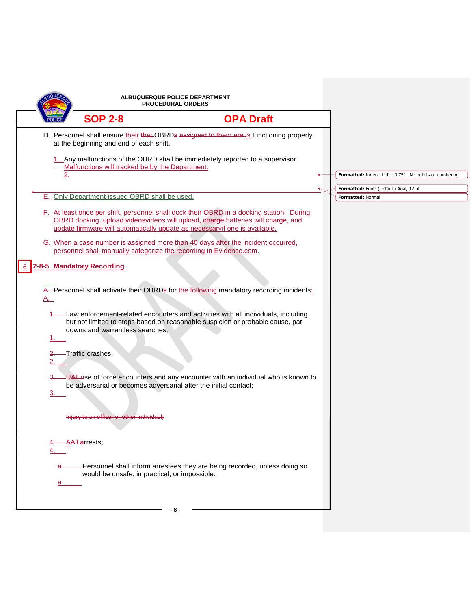|                |                                                                    | ALBUQUERQUE POLICE DEPARTMENT<br><b>PROCEDURAL ORDERS</b>                                                                                                                                                                                                  |                                                              |
|----------------|--------------------------------------------------------------------|------------------------------------------------------------------------------------------------------------------------------------------------------------------------------------------------------------------------------------------------------------|--------------------------------------------------------------|
|                | <b>SOP 2-8</b>                                                     | <b>OPA Draft</b>                                                                                                                                                                                                                                           |                                                              |
|                | at the beginning and end of each shift.                            | D. Personnel shall ensure their that OBRDs assigned to them are is functioning properly                                                                                                                                                                    |                                                              |
| 2.             | Malfunctions will tracked be by the Department.                    | 1. Any malfunctions of the OBRD shall be immediately reported to a supervisor.                                                                                                                                                                             | Formatted: Indent: Left: 0.75", No bullets or numbering      |
|                |                                                                    |                                                                                                                                                                                                                                                            |                                                              |
|                | E. Only Department-issued OBRD shall be used.                      |                                                                                                                                                                                                                                                            | Formatted: Font: (Default) Arial, 12 pt<br>Formatted: Normal |
|                |                                                                    | F. At least once per shift, personnel shall dock their OBRD in a docking station. During<br>OBRD docking, upload videosvideos will upload, charge-batteries will charge, and<br>update firmware will automatically update as necessaryif one is available. |                                                              |
|                | personnel shall manually categorize the recording in Evidence.com. | G. When a case number is assigned more than 40 days after the incident occurred,                                                                                                                                                                           |                                                              |
|                | 2-8-5 Mandatory Recording                                          |                                                                                                                                                                                                                                                            |                                                              |
| <u>A. </u>     |                                                                    | A. Personnel shall activate their OBRDs for the following mandatory recording incidents:                                                                                                                                                                   |                                                              |
| 1.             | downs and warrantless searches;                                    | -Law enforcement-related encounters and activities with all individuals, including<br>but not limited to stops based on reasonable suspicion or probable cause, pat                                                                                        |                                                              |
| 2.             | -Traffic crashes;                                                  |                                                                                                                                                                                                                                                            |                                                              |
| 3 <sub>1</sub> | be adversarial or becomes adversarial after the initial contact;   | -UAII use of force encounters and any encounter with an individual who is known to                                                                                                                                                                         |                                                              |
|                | Injury to an officer or other individual                           |                                                                                                                                                                                                                                                            |                                                              |
|                | A <del>All a</del> rrests;                                         |                                                                                                                                                                                                                                                            |                                                              |
| a.             | would be unsafe, impractical, or impossible.                       | Personnel shall inform arrestees they are being recorded, unless doing so                                                                                                                                                                                  |                                                              |
|                |                                                                    | - 8 -                                                                                                                                                                                                                                                      |                                                              |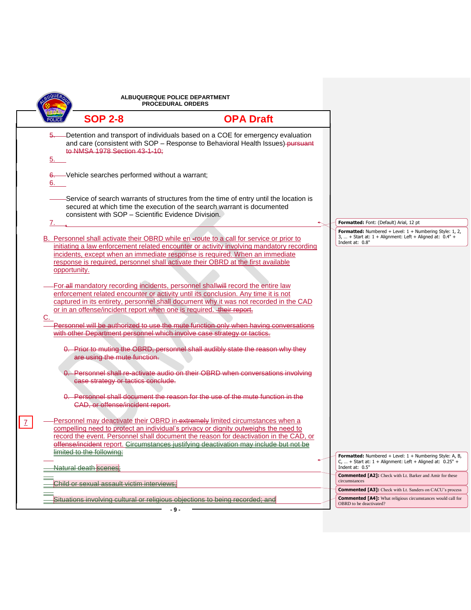|    | ALBUQUERQUE POLICE DEPARTMENT<br><b>PROCEDURAL ORDERS</b>              |                                                                                                                                                                                                                                                                                                                                                        |  |                                                                                                                                                     |
|----|------------------------------------------------------------------------|--------------------------------------------------------------------------------------------------------------------------------------------------------------------------------------------------------------------------------------------------------------------------------------------------------------------------------------------------------|--|-----------------------------------------------------------------------------------------------------------------------------------------------------|
|    | <b>SOP 2-8</b>                                                         | <b>OPA Draft</b>                                                                                                                                                                                                                                                                                                                                       |  |                                                                                                                                                     |
| 5. | to NMSA 1978 Section 43-1-10;                                          | -Detention and transport of individuals based on a COE for emergency evaluation<br>and care (consistent with SOP - Response to Behavioral Health Issues)-pursuant                                                                                                                                                                                      |  |                                                                                                                                                     |
| 6. | 6. Vehicle searches performed without a warrant;                       |                                                                                                                                                                                                                                                                                                                                                        |  |                                                                                                                                                     |
|    | consistent with SOP - Scientific Evidence Division.                    | Service of search warrants of structures from the time of entry until the location is<br>secured at which time the execution of the search warrant is documented                                                                                                                                                                                       |  |                                                                                                                                                     |
| 7. |                                                                        |                                                                                                                                                                                                                                                                                                                                                        |  | Formatted: Font: (Default) Arial, 12 pt                                                                                                             |
|    |                                                                        | B. Personnel shall activate their OBRD while en-route to a call for service or prior to<br>initiating a law enforcement related encounter or activity involving mandatory recording                                                                                                                                                                    |  | <b>Formatted:</b> Numbered + Level: $1 +$ Numbering Style: 1, 2,<br>3,  + Start at: $1 +$ Alignment: Left + Aligned at: $0.4"$ +<br>Indent at: 0.8" |
|    | opportunity.                                                           | incidents, except when an immediate response is required. When an immediate<br>response is required, personnel shall activate their OBRD at the first available                                                                                                                                                                                        |  |                                                                                                                                                     |
|    | or in an offense/incident report when one is required. + their report. | For-all mandatory recording incidents, personnel shall will record the entire law<br>enforcement related encounter or activity until its conclusion. Any time it is not<br>captured in its entirety, personnel shall document why it was not recorded in the CAD                                                                                       |  |                                                                                                                                                     |
| C. |                                                                        | Personnel will be authorized to use the mute function only when having conversations                                                                                                                                                                                                                                                                   |  |                                                                                                                                                     |
|    |                                                                        | with other Department personnel which involve case strategy or tactics.                                                                                                                                                                                                                                                                                |  |                                                                                                                                                     |
|    | are using the mute function.                                           | 0. Prior to muting the OBRD, personnel shall audibly state the reason why they                                                                                                                                                                                                                                                                         |  |                                                                                                                                                     |
|    | case strategy or tactics conclude.                                     | 0. Personnel shall re-activate audio on their OBRD when conversations involving                                                                                                                                                                                                                                                                        |  |                                                                                                                                                     |
|    | CAD, or offense/incident report.                                       | 0. Personnel shall document the reason for the use of the mute function in the                                                                                                                                                                                                                                                                         |  |                                                                                                                                                     |
|    |                                                                        | Personnel may deactivate their OBRD in extremely limited circumstances when a<br>compelling need to protect an individual's privacy or dignity outweighs the need to<br>record the event. Personnel shall document the reason for deactivation in the CAD, or<br>offense/incident report. Circumstances justifying deactivation may include but not be |  |                                                                                                                                                     |
|    | limited to the following:                                              |                                                                                                                                                                                                                                                                                                                                                        |  | Formatted: Numbered + Level: 1 + Numbering Style: A, B,<br>C,  + Start at: $1 +$ Alignment: Left + Aligned at: $0.25"$ +                            |
|    | <del>Natural death <mark>scenes</mark>:</del>                          |                                                                                                                                                                                                                                                                                                                                                        |  | Indent at: 0.5"<br><b>Commented [A2]:</b> Check with Lt. Barker and Amir for these                                                                  |
|    | Child or sexual assault victim interviews:                             |                                                                                                                                                                                                                                                                                                                                                        |  | circumstances                                                                                                                                       |
|    |                                                                        |                                                                                                                                                                                                                                                                                                                                                        |  | <b>Commented [A3]:</b> Check with Lt. Sanders on CACU's process                                                                                     |
|    |                                                                        | Situations involving cultural or religious objections to being recorded; and                                                                                                                                                                                                                                                                           |  | <b>Commented [A4]:</b> What religious circumstances would call for<br>OBRD to be deactivated?                                                       |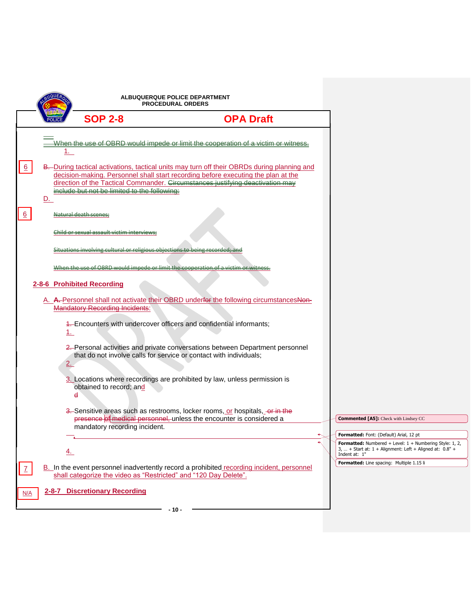| ALBUQUERQUE POLICE DEPARTMENT<br><b>PROCEDURAL ORDERS</b>                                                                                                                                                                                                                                                                                                                                                                                                                                                                                                                                                                                                                                                                                                                                                                                                                                                                                                                                                                                                                                                                                                                                                                                                                                                                                                                                                                                                                                                 |                                                                                                                                                                                                                                                                                         |
|-----------------------------------------------------------------------------------------------------------------------------------------------------------------------------------------------------------------------------------------------------------------------------------------------------------------------------------------------------------------------------------------------------------------------------------------------------------------------------------------------------------------------------------------------------------------------------------------------------------------------------------------------------------------------------------------------------------------------------------------------------------------------------------------------------------------------------------------------------------------------------------------------------------------------------------------------------------------------------------------------------------------------------------------------------------------------------------------------------------------------------------------------------------------------------------------------------------------------------------------------------------------------------------------------------------------------------------------------------------------------------------------------------------------------------------------------------------------------------------------------------------|-----------------------------------------------------------------------------------------------------------------------------------------------------------------------------------------------------------------------------------------------------------------------------------------|
| <b>SOP 2-8</b><br><b>OPA Draft</b>                                                                                                                                                                                                                                                                                                                                                                                                                                                                                                                                                                                                                                                                                                                                                                                                                                                                                                                                                                                                                                                                                                                                                                                                                                                                                                                                                                                                                                                                        |                                                                                                                                                                                                                                                                                         |
| When the use of OBRD would impede or limit the cooperation of a victim or witness.<br>1.<br>$\frac{6}{5}$<br>B. During tactical activations, tactical units may turn off their OBRDs during planning and<br>decision-making. Personnel shall start recording before executing the plan at the<br>direction of the Tactical Commander. Circumstances justifying deastivation may<br>include but not be limited to the following.<br><u>D.</u><br>6<br>ura <del>l death scene.</del><br>hild or sexual assault victim intervic:<br>When the use of OBRD would impede or limit the coor<br>2-8-6 Prohibited Recording<br>A. A. Personnel shall not activate their OBRD underfor the following circumstancesNon-<br><b>Mandatory Recording Incidents:</b><br>4. Encounters with undercover officers and confidential informants;<br>1.<br>2. Personal activities and private conversations between Department personnel<br>that do not involve calls for service or contact with individuals;<br>2.<br>3. Locations where recordings are prohibited by law, unless permission is<br>obtained to record; and<br>đ<br>3. Sensitive areas such as restrooms, locker rooms, or hospitals, or in the<br>presence of medical personnel, unless the encounter is considered a<br>mandatory recording incident.<br>$\overline{4}$ .<br>B. In the event personnel inadvertently record a prohibited recording incident, personnel<br>$\mathcal{I}$<br>shall categorize the video as "Restricted" and "120 Day Delete". | <b>Commented [A5]:</b> Check with Lindsey CC<br><b>Formatted:</b> Font: (Default) Arial, 12 pt<br>Formatted: Numbered + Level: 1 + Numbering Style: 1, 2,<br>3,  + Start at: $1 +$ Alignment: Left + Aligned at: $0.8"$ +<br>Indent at: 1"<br>Formatted: Line spacing: Multiple 1.15 li |
| 2-8-7 Discretionary Recording<br>N/A<br>- 10 -                                                                                                                                                                                                                                                                                                                                                                                                                                                                                                                                                                                                                                                                                                                                                                                                                                                                                                                                                                                                                                                                                                                                                                                                                                                                                                                                                                                                                                                            |                                                                                                                                                                                                                                                                                         |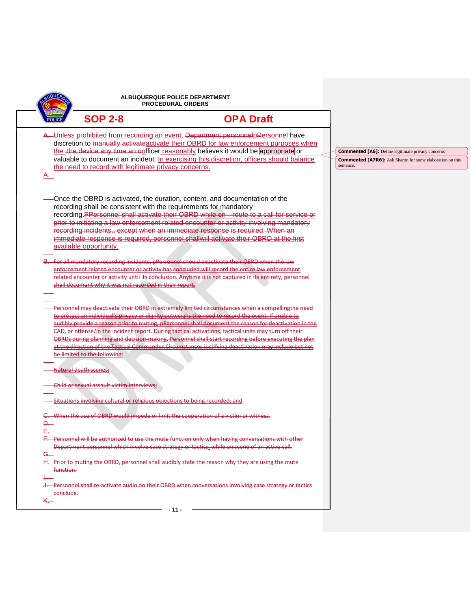|                              |                                                                                             | ALBUQUERQUE POLICE DEPARTMENT<br><b>PROCEDURAL ORDERS</b>                                                                                                                                                                                                                                                                                                                                                                                   |                                                                                                                                            |
|------------------------------|---------------------------------------------------------------------------------------------|---------------------------------------------------------------------------------------------------------------------------------------------------------------------------------------------------------------------------------------------------------------------------------------------------------------------------------------------------------------------------------------------------------------------------------------------|--------------------------------------------------------------------------------------------------------------------------------------------|
|                              | <b>SOP 2-8</b>                                                                              | <b>OPA Draft</b>                                                                                                                                                                                                                                                                                                                                                                                                                            |                                                                                                                                            |
| A.                           | the need to record with legitimate privacy concerns.                                        | A. Unless prohibited from recording an event, Department personnelpPersonnel have<br>discretion to manually activate activate their OBRD for law enforcement purposes when<br>the the device any time an oofficer reasonably believes it would be appropriate or<br>valuable to document an incident. In exercising this discretion, officers should balance                                                                                | <b>Commented [A6]:</b> Define legitimate privacy concerns<br><b>Commented [A7R6]:</b> Ask Sharon for some elaboration on this<br>sentence. |
|                              | recording shall be consistent with the requirements for mandatory<br>available opportunity. | -Once the OBRD is activated, the duration, content, and documentation of the<br>recording PPersonnel shall activate their OBRD while en---route to a call for service or<br>prior to initiating a law enforcement related encounter or activity involving mandatory<br>recording incidents,, except when an immediate response is required. When an<br>immediate response is required, personnel shallwill activate their OBRD at the first |                                                                                                                                            |
|                              | shall document why it was not recorded in their report.                                     | For all mandatory recording incidents, pPersonnel should deactivate their OBRD when the law<br>enforcement related encounter or activity has concluded will record the entire law enforcement<br>related encounter or activity until its conclusion. Anytime it is not captured in its entirety, personnel                                                                                                                                  |                                                                                                                                            |
|                              |                                                                                             | Personnel may deactivate their OBRD in extremely limited circumstances when a compellingthe need<br>to protect an individual's privacy or dignity outweighs the need to record the event. If unable to<br>audibly provide a reason prior to muting, pPersonnel shall document the reason for deactivation in the<br>CAD, or offense/in the incident report. During tactical activations, tactical units may turn off their                  |                                                                                                                                            |
|                              | be limited to the following.<br>Natural death scenes;                                       | OBRDs during planning and decision making. Personnel shall start recording before executing the plan<br>at the direction of the Tactical Commander.Circumstances justifying deactivation may include but not                                                                                                                                                                                                                                |                                                                                                                                            |
|                              | Child or sexual assault victim interviews;                                                  |                                                                                                                                                                                                                                                                                                                                                                                                                                             |                                                                                                                                            |
| Ð.                           | Situations involving cultural or religious objections to being recorded; and                | When the use of OBRD would impede or limit the cooperation of a victim or witness.                                                                                                                                                                                                                                                                                                                                                          |                                                                                                                                            |
| E.—                          |                                                                                             | F. Personnel will be authorized to use the mute function only when having conversations with other<br>Department personnel which involve case strategy or tactics, while on scene of an active call.                                                                                                                                                                                                                                        |                                                                                                                                            |
| <del>G. -</del><br>function. |                                                                                             | H. Prior to muting the OBRD, personnel shall audibly state the reason why they are using the mute                                                                                                                                                                                                                                                                                                                                           |                                                                                                                                            |
|                              |                                                                                             | Personnel shall re-activate audio on their OBRD when conversations involving case strategy or tactics                                                                                                                                                                                                                                                                                                                                       |                                                                                                                                            |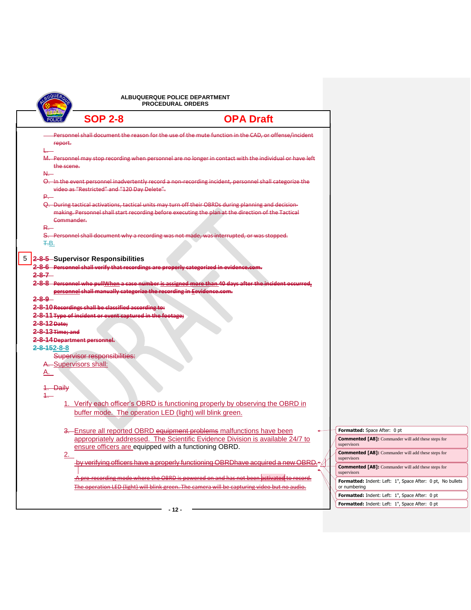|                                                      | <b>ALBUQUERQUE POLICE DEPARTMENT</b><br><b>PROCEDURAL ORDERS</b>                                                 |                                                                                                                                                                                                             |  |                                                                            |
|------------------------------------------------------|------------------------------------------------------------------------------------------------------------------|-------------------------------------------------------------------------------------------------------------------------------------------------------------------------------------------------------------|--|----------------------------------------------------------------------------|
|                                                      | <b>SOP 2-8</b>                                                                                                   | <b>OPA Draft</b>                                                                                                                                                                                            |  |                                                                            |
| report.                                              |                                                                                                                  | Personnel shall document the reason for the use of the mute function in the CAD, or offense/incident                                                                                                        |  |                                                                            |
| the scene.                                           |                                                                                                                  | M. Personnel may stop recording when personnel are no longer in contact with the individual or have left                                                                                                    |  |                                                                            |
| N.—<br><b>P</b> .                                    | video as "Restricted" and "120 Day Delete".                                                                      | Q. In the event personnel inadvertently record a non-recording incident, personnel shall categorize the                                                                                                     |  |                                                                            |
| Commander.                                           |                                                                                                                  | Q. During tactical activations, tactical units may turn off their OBRDs during planning and decision-<br>making. Personnel shall start recording before executing the plan at the direction of the Tactical |  |                                                                            |
| <del>R. -</del><br>F.B.                              |                                                                                                                  | S. Personnel shall document why a recording was not made, was interrupted, or was stopped.                                                                                                                  |  |                                                                            |
| $2 - 8 - 7 -$                                        | 5 2-8-5 Supervisor Responsibilities                                                                              | 2-8-6 Personnel shall verify that recordings are properly categorized in evidence.com.                                                                                                                      |  |                                                                            |
| $2 - 8 - 9 -$                                        | personnel shall manually categorize the recording in Eevidence.com.                                              | 2-8-8 Personnel who pullWhen a case number is assigned more than 40 days after the incident occurred,                                                                                                       |  |                                                                            |
| 2-8-12 Date:                                         | 2-8-10 Recordings shall be classified according to:<br>2-8-11 Type of incident or event captured in the footage; |                                                                                                                                                                                                             |  |                                                                            |
| <del>2-8-13 Time: and</del><br>$2 - 8 - 152 - 8 - 8$ | 2-8-14 Department personnel.                                                                                     |                                                                                                                                                                                                             |  |                                                                            |
| <u>A. </u>                                           | Supervisor responsibilities:<br>A. Supervisors shall:                                                            |                                                                                                                                                                                                             |  |                                                                            |
| 1. Daily<br>1.—                                      |                                                                                                                  |                                                                                                                                                                                                             |  |                                                                            |
|                                                      | buffer mode. The operation LED (light) will blink green.                                                         | 1. Verify each officer's OBRD is functioning properly by observing the OBRD in                                                                                                                              |  |                                                                            |
|                                                      |                                                                                                                  | 3. Ensure all reported OBRD equipment problems malfunctions have been                                                                                                                                       |  | Formatted: Space After: 0 pt                                               |
|                                                      | ensure officers are equipped with a functioning OBRD.                                                            | appropriately addressed. The Scientific Evidence Division is available 24/7 to                                                                                                                              |  | <b>Commented [A8]:</b> Commander will add these steps for<br>supervisors   |
| 2.                                                   |                                                                                                                  |                                                                                                                                                                                                             |  | <b>Commented [A8]:</b> Commander will add these steps for<br>supervisors   |
|                                                      |                                                                                                                  | by verifying officers have a properly functioning OBRDhave acquired a new OBRD.                                                                                                                             |  | <b>Commented [A8]:</b> Commander will add these steps for<br>supervisors   |
|                                                      |                                                                                                                  | -A pre-recording mode where the OBRD is powered on and has not been activated to record.<br>The operation LED (light) will blink green. The camera will be capturing video but no audio-                    |  | Formatted: Indent: Left: 1", Space After: 0 pt, No bullets<br>or numbering |
|                                                      |                                                                                                                  |                                                                                                                                                                                                             |  | Formatted: Indent: Left: 1", Space After: 0 pt                             |
|                                                      |                                                                                                                  |                                                                                                                                                                                                             |  | Formatted: Indent: Left: 1", Space After: 0 pt                             |
|                                                      |                                                                                                                  | - 12 -                                                                                                                                                                                                      |  |                                                                            |

 $\Box$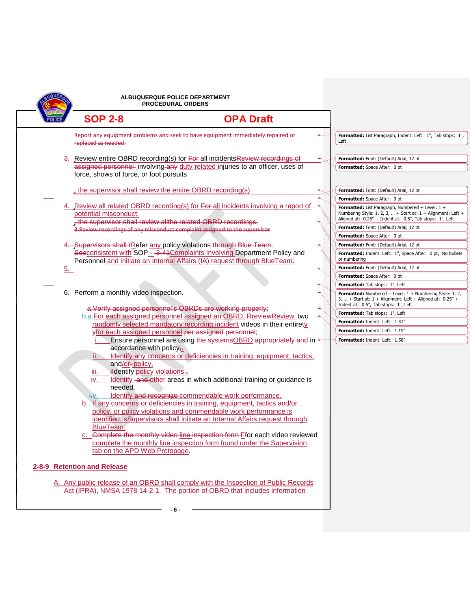|    |                                                                                        | ALBUQUERQUE POLICE DEPARTMENT<br><b>PROCEDURAL ORDERS</b>                                                                                                                                                                    |                                                                                                                                                                              |
|----|----------------------------------------------------------------------------------------|------------------------------------------------------------------------------------------------------------------------------------------------------------------------------------------------------------------------------|------------------------------------------------------------------------------------------------------------------------------------------------------------------------------|
|    | <b>SOP 2-8</b>                                                                         | <b>OPA Draft</b>                                                                                                                                                                                                             |                                                                                                                                                                              |
|    | replaced as needed.                                                                    | Report any equipment problems and seek to have equipment immediately repaired or                                                                                                                                             | Formatted: List Paragraph, Indent: Left: 1", Tab stops: 1",<br>Left                                                                                                          |
|    |                                                                                        | 3. Review entire OBRD recording(s) for For all incidents Review recordings of                                                                                                                                                | Formatted: Font: (Default) Arial, 12 pt                                                                                                                                      |
|    | force, shows of force, or foot pursuits.                                               | assigned personnel-involving any duty-related injuries to an officer, uses of                                                                                                                                                | Formatted: Space After: 0 pt                                                                                                                                                 |
|    | the supervisor shall review the entire OBRD recording(s).                              |                                                                                                                                                                                                                              | Formatted: Font: (Default) Arial, 12 pt                                                                                                                                      |
|    |                                                                                        |                                                                                                                                                                                                                              | Formatted: Space After: 0 pt                                                                                                                                                 |
|    | potential misconduct.<br>. the supervisor shall review allthe related OBRD recordings. | 4. Review all related OBRD recording(s) for For all incidents involving a report of                                                                                                                                          | Formatted: List Paragraph, Numbered + Level: 1 +<br>Numbering Style: 1, 2, 3,  + Start at: 1 + Alignment: Left +<br>Aligned at: 0.25" + Indent at: 0.5", Tab stops: 1", Left |
|    |                                                                                        | 3. Review recordings of any misconduct complaint assigned to the supervisor                                                                                                                                                  | Formatted: Font: (Default) Arial, 12 pt                                                                                                                                      |
|    |                                                                                        |                                                                                                                                                                                                                              | Formatted: Space After: 0 pt                                                                                                                                                 |
|    |                                                                                        | Supervisors shall rRefer any policy violations through Blue Team.<br>Seeconsistent with SOP - 3-41 Complaints Involving Department Policy and                                                                                | Formatted: Font: (Default) Arial, 12 pt<br>Formatted: Indent: Left: 1", Space After: 0 pt, No bullets                                                                        |
|    |                                                                                        | Personnel and initiate an Internal Affairs (IA) request through BlueTeam.                                                                                                                                                    | or numbering                                                                                                                                                                 |
| 5. |                                                                                        |                                                                                                                                                                                                                              | Formatted: Font: (Default) Arial, 12 pt                                                                                                                                      |
|    |                                                                                        |                                                                                                                                                                                                                              | Formatted: Space After: 0 pt                                                                                                                                                 |
|    |                                                                                        |                                                                                                                                                                                                                              | Formatted: Tab stops: 1", Left                                                                                                                                               |
|    | 6. Perform a monthly video inspection.                                                 |                                                                                                                                                                                                                              | <b>Formatted:</b> Numbered + Level: $1 +$ Numbering Style: 1, 2,<br>3,  + Start at: 1 + Alignment: Left + Aligned at: 0.25" +<br>Indent at: 0.5", Tab stops: 1", Left        |
|    |                                                                                        | a. Verify assigned personnel's OBRDs are working properly;<br>b.a. For each assigned personnel assigned an OBRD, Rreview Review - two                                                                                        | Formatted: Tab stops: 1", Left                                                                                                                                               |
|    |                                                                                        | randomly selected mandatory recording incident videos in their entirety                                                                                                                                                      | Formatted: Indent: Left: 1.31"                                                                                                                                               |
|    |                                                                                        | yfor each assigned personnel per assigned personnel;                                                                                                                                                                         | Formatted: Indent: Left: 1.19"                                                                                                                                               |
|    | accordance with policy <sub>7:</sub>                                                   | Ensure personnel are using the systemsOBRD appropriately and in                                                                                                                                                              | Formatted: Indent: Left: 1.58"                                                                                                                                               |
|    | $\mathbf{ii}$ .<br>and/or-policy.<br>ildentify policy violations.<br>Ш.                | Identify any concerns or deficiencies in training, equipment, tactics,                                                                                                                                                       |                                                                                                                                                                              |
|    | iv.<br>needed.<br>ŧ۷.                                                                  | Identify and other areas in which additional training or guidance is<br>Identify and recognize commendable work performance.                                                                                                 |                                                                                                                                                                              |
|    |                                                                                        | b. If any concerns or deficiencies in training, equipment, tactics and/or<br>policy, or policy violations and commendable work performance is<br>identified, sSupervisors shall initiate an Internal Affairs request through |                                                                                                                                                                              |
|    | BlueTeam.                                                                              |                                                                                                                                                                                                                              |                                                                                                                                                                              |
|    | tab on the APD Web Protopage.                                                          | c. Complete the monthly video line inspection form Efor each video reviewed<br>complete the monthly line inspection form found under the Supervision                                                                         |                                                                                                                                                                              |
|    | 2-8-9 Retention and Release                                                            |                                                                                                                                                                                                                              |                                                                                                                                                                              |
|    |                                                                                        | A. Any public release of an OBRD shall comply with the Inspection of Public Records<br>Act (IPRA), NMSA 1978 14-2-1. The portion of OBRD that includes information                                                           |                                                                                                                                                                              |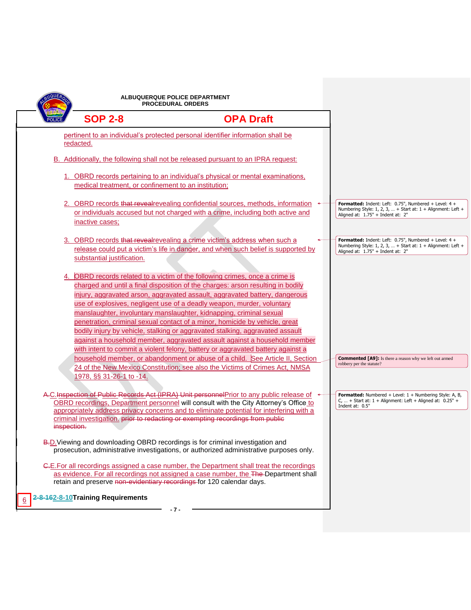|                                                                                               | ALBUQUERQUE POLICE DEPARTMENT<br><b>PROCEDURAL ORDERS</b>                                                                                                                                                                                                                                                                                                                                                                                                                                                                                                                                                                                                                                                                       |                                                                                                                                                              |
|-----------------------------------------------------------------------------------------------|---------------------------------------------------------------------------------------------------------------------------------------------------------------------------------------------------------------------------------------------------------------------------------------------------------------------------------------------------------------------------------------------------------------------------------------------------------------------------------------------------------------------------------------------------------------------------------------------------------------------------------------------------------------------------------------------------------------------------------|--------------------------------------------------------------------------------------------------------------------------------------------------------------|
| <b>SOP 2-8</b>                                                                                | <b>OPA Draft</b>                                                                                                                                                                                                                                                                                                                                                                                                                                                                                                                                                                                                                                                                                                                |                                                                                                                                                              |
| redacted.                                                                                     | pertinent to an individual's protected personal identifier information shall be                                                                                                                                                                                                                                                                                                                                                                                                                                                                                                                                                                                                                                                 |                                                                                                                                                              |
|                                                                                               | B. Additionally, the following shall not be released pursuant to an IPRA request:                                                                                                                                                                                                                                                                                                                                                                                                                                                                                                                                                                                                                                               |                                                                                                                                                              |
| medical treatment, or confinement to an institution;                                          | 1. OBRD records pertaining to an individual's physical or mental examinations,                                                                                                                                                                                                                                                                                                                                                                                                                                                                                                                                                                                                                                                  |                                                                                                                                                              |
| inactive cases;                                                                               | 2. OBRD records that reveal revealing confidential sources, methods, information<br>or individuals accused but not charged with a crime, including both active and                                                                                                                                                                                                                                                                                                                                                                                                                                                                                                                                                              | Formatted: Indent: Left: 0.75", Numbered + Level: 4 +<br>Numbering Style: 1, 2, 3,  + Start at: 1 + Alignment: Left +<br>Aligned at: $1.75"$ + Indent at: 2" |
| substantial justification.                                                                    | 3. OBRD records that reveal revealing a crime victim's address when such a<br>release could put a victim's life in danger, and when such belief is supported by                                                                                                                                                                                                                                                                                                                                                                                                                                                                                                                                                                 | Formatted: Indent: Left: 0.75", Numbered + Level: 4 +<br>Numbering Style: 1, 2, 3,  + Start at: 1 + Alignment: Left +<br>Aligned at: 1.75" + Indent at: 2"   |
|                                                                                               | 4. OBRD records related to a victim of the following crimes, once a crime is<br>charged and until a final disposition of the charges: arson resulting in bodily<br>injury, aggravated arson, aggravated assault, aggravated battery, dangerous<br>use of explosives, negligent use of a deadly weapon, murder, voluntary<br>manslaughter, involuntary manslaughter, kidnapping, criminal sexual<br>penetration, criminal sexual contact of a minor, homicide by vehicle, great<br>bodily injury by vehicle, stalking or aggravated stalking, aggravated assault<br>against a household member, aggravated assault against a household member<br>with intent to commit a violent felony, battery or aggravated battery against a |                                                                                                                                                              |
| 1978, §§ 31-26-1 to -14.                                                                      | household member, or abandonment or abuse of a child. See Article II, Section<br>24 of the New Mexico Constitution; see also the Victims of Crimes Act, NMSA                                                                                                                                                                                                                                                                                                                                                                                                                                                                                                                                                                    | <b>Commented [A9]:</b> Is there a reason why we left out armed<br>robbery per the statute?                                                                   |
| criminal investigation. prior to redacting or exempting recordings from public<br>inspection. | A.C.Inspection of Public Records Act (IPRA) Unit personnel Prior to any public release of<br>OBRD recordings, Department personnel will consult with the City Attorney's Office to<br>appropriately address privacy concerns and to eliminate potential for interfering with a                                                                                                                                                                                                                                                                                                                                                                                                                                                  | Formatted: Numbered + Level: 1 + Numbering Style: A, B,<br>C,  + Start at: $1 +$ Alignment: Left + Aligned at: $0.25"$ +<br>Indent at: 0.5"                  |
| B.D. Viewing and downloading OBRD recordings is for criminal investigation and                | prosecution, administrative investigations, or authorized administrative purposes only.                                                                                                                                                                                                                                                                                                                                                                                                                                                                                                                                                                                                                                         |                                                                                                                                                              |
| retain and preserve non-evidentiary recordings for 120 calendar days.                         | C.E. For all recordings assigned a case number, the Department shall treat the recordings<br>as evidence. For all recordings not assigned a case number, the The-Department shall                                                                                                                                                                                                                                                                                                                                                                                                                                                                                                                                               |                                                                                                                                                              |
| 2-8-162-8-10 Training Requirements                                                            | -7-                                                                                                                                                                                                                                                                                                                                                                                                                                                                                                                                                                                                                                                                                                                             |                                                                                                                                                              |